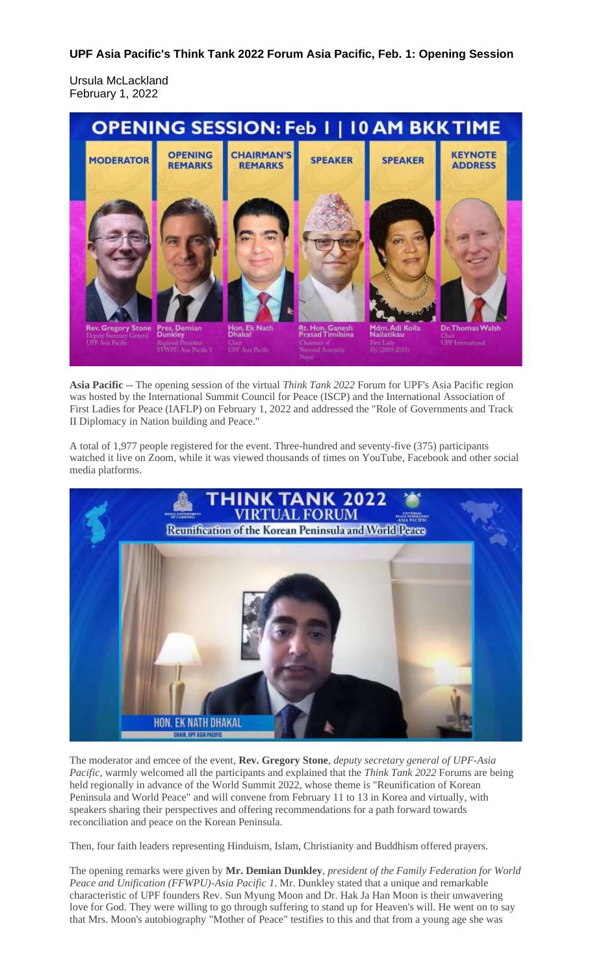## **UPF Asia Pacific's Think Tank 2022 Forum Asia Pacific, Feb. 1: Opening Session**

Ursula McLackland February 1, 2022



**Asia Pacific** -- The opening session of the virtual *Think Tank 2022* Forum for UPF's Asia Pacific region was hosted by the International Summit Council for Peace (ISCP) and the International Association of First Ladies for Peace (IAFLP) on February 1, 2022 and addressed the "Role of Governments and Track II Diplomacy in Nation building and Peace.

A total of 1,977 people registered for the event. Three-hundred and seventy-five (375) participants watched it live on Zoom, while it was viewed thousands of times on YouTube, Facebook and other social media platforms.



The moderator and emcee of the event, **Rev. Gregory Stone**, *deputy secretary general of UPF-Asia Pacific,* warmly welcomed all the participants and explained that the *Think Tank 2022* Forums are being held regionally in advance of the World Summit 2022, whose theme is "Reunification of Korean Peninsula and World Peace" and will convene from February 11 to 13 in Korea and virtually, with speakers sharing their perspectives and offering recommendations for a path forward towards reconciliation and peace on the Korean Peninsula.

Then, four faith leaders representing Hinduism, Islam, Christianity and Buddhism offered prayers.

The opening remarks were given by **Mr. Demian Dunkley**, *president of the Family Federation for World Peace and Unification (FFWPU)-Asia Pacific 1*. Mr. Dunkley stated that a unique and remarkable characteristic of UPF founders Rev. Sun Myung Moon and Dr. Hak Ja Han Moon is their unwavering love for God. They were willing to go through suffering to stand up for Heaven's will. He went on to say that Mrs. Moon's autobiography "Mother of Peace" testifies to this and that from a young age she was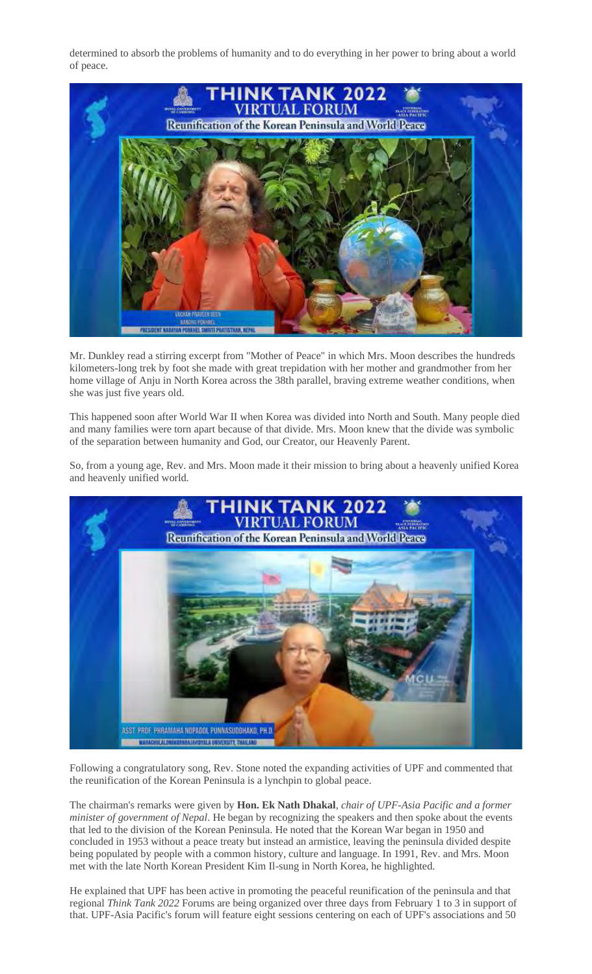determined to absorb the problems of humanity and to do everything in her power to bring about a world of peace.



Mr. Dunkley read a stirring excerpt from "Mother of Peace" in which Mrs. Moon describes the hundreds kilometers-long trek by foot she made with great trepidation with her mother and grandmother from her home village of Anju in North Korea across the 38th parallel, braving extreme weather conditions, when she was just five years old.

This happened soon after World War II when Korea was divided into North and South. Many people died and many families were torn apart because of that divide. Mrs. Moon knew that the divide was symbolic of the separation between humanity and God, our Creator, our Heavenly Parent.

So, from a young age, Rev. and Mrs. Moon made it their mission to bring about a heavenly unified Korea and heavenly unified world.



Following a congratulatory song, Rev. Stone noted the expanding activities of UPF and commented that the reunification of the Korean Peninsula is a lynchpin to global peace.

The chairman's remarks were given by **Hon. Ek Nath Dhakal**, *chair of UPF-Asia Pacific and a former minister of government of Nepal*. He began by recognizing the speakers and then spoke about the events that led to the division of the Korean Peninsula. He noted that the Korean War began in 1950 and concluded in 1953 without a peace treaty but instead an armistice, leaving the peninsula divided despite being populated by people with a common history, culture and language. In 1991, Rev. and Mrs. Moon met with the late North Korean President Kim Il-sung in North Korea, he highlighted.

He explained that UPF has been active in promoting the peaceful reunification of the peninsula and that regional *Think Tank 2022* Forums are being organized over three days from February 1 to 3 in support of that. UPF-Asia Pacific's forum will feature eight sessions centering on each of UPF's associations and 50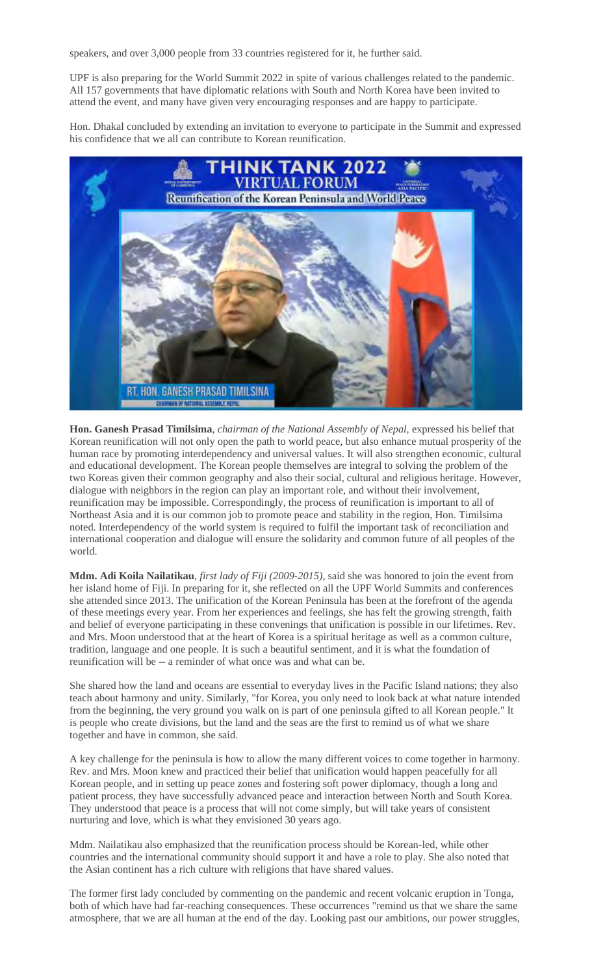speakers, and over 3,000 people from 33 countries registered for it, he further said.

UPF is also preparing for the World Summit 2022 in spite of various challenges related to the pandemic. All 157 governments that have diplomatic relations with South and North Korea have been invited to attend the event, and many have given very encouraging responses and are happy to participate.

Hon. Dhakal concluded by extending an invitation to everyone to participate in the Summit and expressed his confidence that we all can contribute to Korean reunification.



**Hon. Ganesh Prasad Timilsima**, *chairman of the National Assembly of Nepal,* expressed his belief that Korean reunification will not only open the path to world peace, but also enhance mutual prosperity of the human race by promoting interdependency and universal values. It will also strengthen economic, cultural and educational development. The Korean people themselves are integral to solving the problem of the two Koreas given their common geography and also their social, cultural and religious heritage. However, dialogue with neighbors in the region can play an important role, and without their involvement, reunification may be impossible. Correspondingly, the process of reunification is important to all of Northeast Asia and it is our common job to promote peace and stability in the region, Hon. Timilsima noted. Interdependency of the world system is required to fulfil the important task of reconciliation and international cooperation and dialogue will ensure the solidarity and common future of all peoples of the world.

**Mdm. Adi Koila Nailatikau**, *first lady of Fiji (2009-2015),* said she was honored to join the event from her island home of Fiji. In preparing for it, she reflected on all the UPF World Summits and conferences she attended since 2013. The unification of the Korean Peninsula has been at the forefront of the agenda of these meetings every year. From her experiences and feelings, she has felt the growing strength, faith and belief of everyone participating in these convenings that unification is possible in our lifetimes. Rev. and Mrs. Moon understood that at the heart of Korea is a spiritual heritage as well as a common culture, tradition, language and one people. It is such a beautiful sentiment, and it is what the foundation of reunification will be -- a reminder of what once was and what can be.

She shared how the land and oceans are essential to everyday lives in the Pacific Island nations; they also teach about harmony and unity. Similarly, "for Korea, you only need to look back at what nature intended from the beginning, the very ground you walk on is part of one peninsula gifted to all Korean people." It is people who create divisions, but the land and the seas are the first to remind us of what we share together and have in common, she said.

A key challenge for the peninsula is how to allow the many different voices to come together in harmony. Rev. and Mrs. Moon knew and practiced their belief that unification would happen peacefully for all Korean people, and in setting up peace zones and fostering soft power diplomacy, though a long and patient process, they have successfully advanced peace and interaction between North and South Korea. They understood that peace is a process that will not come simply, but will take years of consistent nurturing and love, which is what they envisioned 30 years ago.

Mdm. Nailatikau also emphasized that the reunification process should be Korean-led, while other countries and the international community should support it and have a role to play. She also noted that the Asian continent has a rich culture with religions that have shared values.

The former first lady concluded by commenting on the pandemic and recent volcanic eruption in Tonga, both of which have had far-reaching consequences. These occurrences "remind us that we share the same atmosphere, that we are all human at the end of the day. Looking past our ambitions, our power struggles,